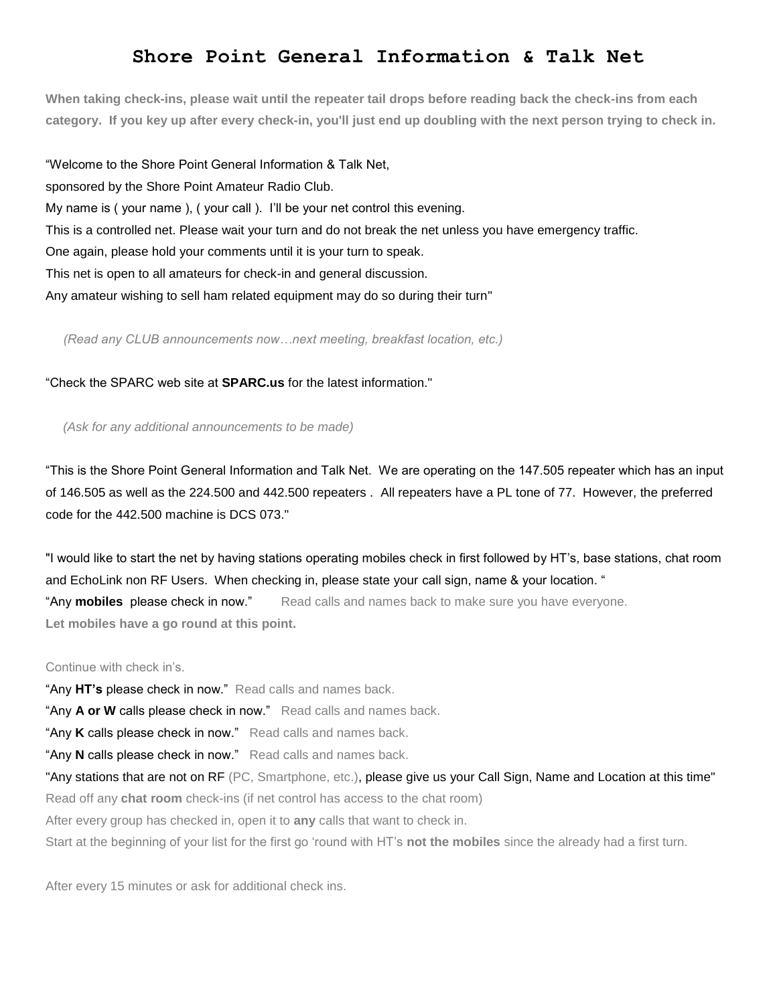## **Shore Point General Information & Talk Net**

**When taking check-ins, please wait until the repeater tail drops before reading back the check-ins from each category. If you key up after every check-in, you'll just end up doubling with the next person trying to check in.**

"Welcome to the Shore Point General Information & Talk Net, sponsored by the Shore Point Amateur Radio Club. My name is ( your name ), ( your call ). I'll be your net control this evening. This is a controlled net. Please wait your turn and do not break the net unless you have emergency traffic. One again, please hold your comments until it is your turn to speak. This net is open to all amateurs for check-in and general discussion. Any amateur wishing to sell ham related equipment may do so during their turn"

 *(Read any CLUB announcements now…next meeting, breakfast location, etc.)*

"Check the SPARC web site at **SPARC.us** for the latest information."

 *(Ask for any additional announcements to be made)*

"This is the Shore Point General Information and Talk Net. We are operating on the 147.505 repeater which has an input of 146.505 as well as the 224.500 and 442.500 repeaters . All repeaters have a PL tone of 77. However, the preferred code for the 442.500 machine is DCS 073."

"I would like to start the net by having stations operating mobiles check in first followed by HT's, base stations, chat room and EchoLink non RF Users. When checking in, please state your call sign, name & your location. " "Any **mobiles** please check in now." Read calls and names back to make sure you have everyone. **Let mobiles have a go round at this point.**

Continue with check in's.

"Any **HT's** please check in now." Read calls and names back.

"Any **A or W** calls please check in now." Read calls and names back.

"Any **K** calls please check in now." Read calls and names back.

"Any **N** calls please check in now." Read calls and names back.

"Any stations that are not on RF (PC, Smartphone, etc.), please give us your Call Sign, Name and Location at this time" Read off any **chat room** check-ins (if net control has access to the chat room)

After every group has checked in, open it to **any** calls that want to check in.

Start at the beginning of your list for the first go 'round with HT's **not the mobiles** since the already had a first turn.

After every 15 minutes or ask for additional check ins.